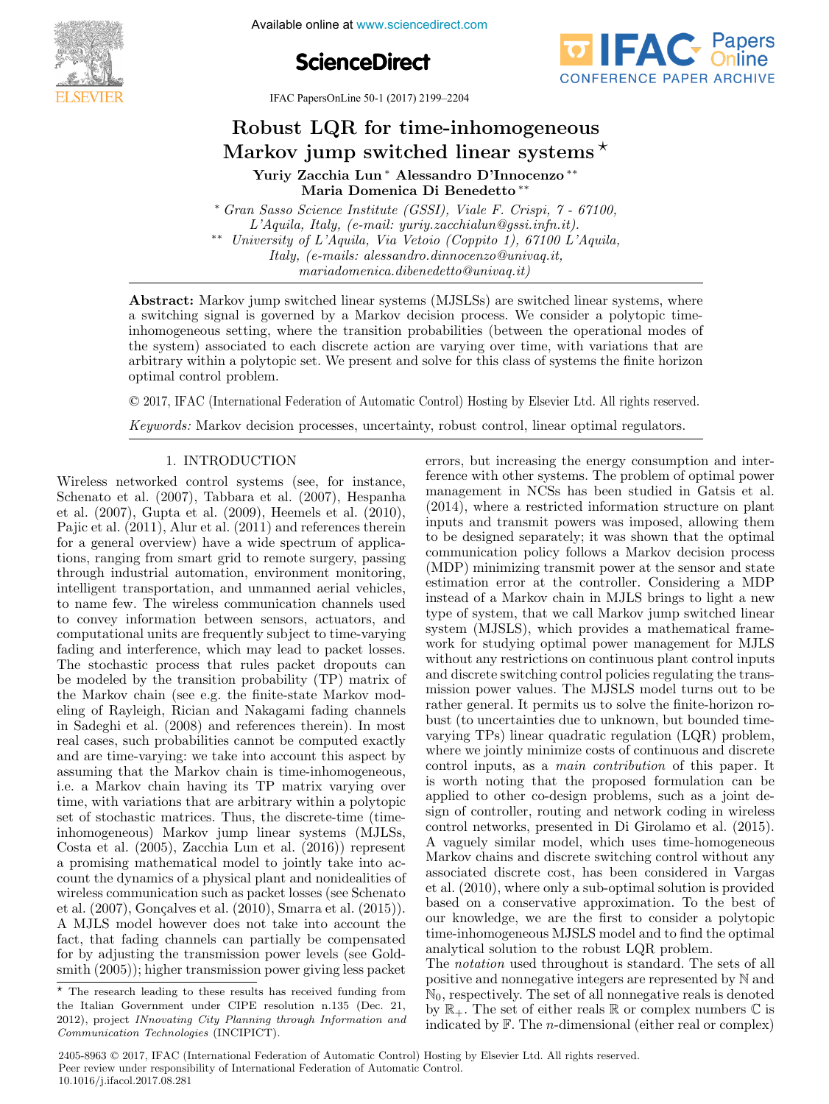





IFAC PapersOnLine 50-1 (2017) 2199-2204

#### $R_{\text{ebust}}$  LQ $R_{\text{em-time}}$  inhomogeneous Robust LQR for time-inhomogeneous<br>Markov jump switched linear systems  $\star$ Robust LQR for time-inhomogeneous rkov jump switched linear systen  $R = \frac{1}{2} \left( \frac{1}{2} \frac{1}{2} \right)$ Markov jump switched linear systems Markov jump switched linear systems

Yuriy Zacchia Lun ∗ Alessandro D'Innocenzo ∗∗ Maria Domenica Di Benedetto ∗∗ Maria Domenica Di Benedetto ∗∗ Maria Domenica Di Benedetto ∗∗

 $Gran$  Sasso Science Institute (GSSI), Viale F. Crispi,  $T = 0.1100$ ,  $L'A$ quila, Italy, (e-mail: yuriy.zacchialun@gssi.infn.it).  $\alpha$  University of L'Aquila, Via Vetoio (Coppito 1), 67100 L'Aquila,  $Itally, (e-mails: aless and no.dimocenzo@univaq.it,$  $\hspace{0.1cm}$  mariadomenica.dibenedetto@univaq.it) \* Grand Bomented Bi Benedette<br>\* Gran Grand F. Crist, 7 - 67100, 7 - 67100, 7 - 67100, 7 - 67100, 7 - 67100, 7 - 67100, 7 - 67100, 7 - 67100, \* Gran Sasso Science Institute (GSSI), Viale F. Crispi, 7 - 67100, ∗∗ University of L'Aquila, Via Vetoio (Coppito 1), 67100 L'Aquila, \*\* University of L'Aquila, Via Vetoio (Coppito 1), 67100 L'Aquila, mariadomenica.dibenedetto@univage.dibenedetto@univage.dibenedetto@univage.dibenedetto@univage.dibenedetto@univ

a switching signal is governed by a Markov decision process. We consider a polytopic timeinhomogeneous setting, where the transition probabilities (between the operational modes of the system) associated to each discrete action are varying over time, with variations that are arbitrary within a polytopic set. We present and solve for this class of systems the finite horizon arbitrary within a polytopic set. We present and solve for this class of systems the finite definition<br>optimal control problem. Abstract: Markov jump switched linear systems (MJSLSs) are switched linear systems, where optimal control problem. arbitrary within a polytopic set. We present and solve for this class of systems the finite horizon<br>optime, control problem arbitrary with a problem.  $m<sub>1</sub>$  do universe detector  $\alpha$  $\text{optimal control problem.}$ 

© 2017, IFAC (International Federation of Automatic Control) Hosting by Elsevier Ltd. All rights reserved.  $\sim$  2011, if the processes and processes, of regulator control, including  $\sigma$ , linear order than regulators. coptimal control problem. The control problem is control problem. The finite set and solve for the finite set and solve for the finite set. We problem is controll problem in the finite set and solve for the finite set and  $\odot$  2017, IFAC (Internationa

Keywords: Markov decision processes, uncertainty, robust control, linear optimal regulators. Keywords: Markov decision processes, uncertainty, robust control, linear optimal regulators. Keywords: Markov decision processes, uncertainty, robust control, linear optimal regulators. Keywords: Markov decision processes, uncertainty, robust control, linear optimal regulators.

#### 1. INTRODUCTION 1. INTRODUCTION

Wireless networked control systems (see, for instance, Schenato et al. (2007), Tabbara et al. (2007), Hespanha et al.  $(2007)$ , Gupta et al.  $(2009)$ , Heemels et al.  $(2010)$ , Pajic et al.  $(2011)$ , Alur et al.  $(2011)$  and references therein for a general overview) have a wide spectrum of applications, ranging from smart grid to remote surgery, passing through industrial automation, environment monitoring, through industrial automation, environment monitoring,<br>intelligent transportation, and unmanned aerial vehicles, meengent transportation, and unmanned aerial vehicles, to name few. The wireless communication channels used to convey information between sensors, actuators, and to convey information between sensors, actuators, and to name few. The wireless communication channels used to name few. The wireless communication channels used to name few. The wireless communication channels used<br>to convey information between sensors, actuators, and<br>computational units are frequently subject to time-varying fading and interference, which may lead to packet losses. The stochastic process that rules packet dropouts can the stochastic process that rules packet diopous can<br>be modeled by the transition probability (TP) matrix of the Markov chain (see e.g. the finite-state Markov modeling of Rayleigh, Rician and Nakagami fading channels in Sadeghi et al. (2008) and references therein). In most real cases, such probabilities cannot be computed exactly and are time-varying: we take into account this aspect by and are three varying. We take most account this aspect by assuming that the Markov chain is time-inhomogeneous, i.e. a Markov chain having its TP matrix varying over i.e. a Markov chain having its TP matrix varying over assuming that the Markov chain is time-inhomogeneous, assuming that the Markov chain is time-inhomogeneous, i.e. a Markov chain having its TP matrix varying over time, with variations that are arbitrary within a polytopic set of stochastic matrices. Thus, the discrete-time (timeinhomogeneous) Markov jump linear systems (MJLSs, Costa et al. (2005), Zacchia Lun et al. (2016)) represent a promising mathematical model to jointly take into account the dynamics of a physical plant and nonidealities of wireless communication such as packet losses (see Schenato et al. (2007), Gonçalves et al. (2010), Smarra et al. (2015)). A MJLS model however does not take into account the fact, that fading channels can partially be compensated fact, that having enamies can partially be compensated of by adjusting the transmission power levels (see Gold-<br>mith (2005)); higher transmission power giving less packet I. INTRODUCTION 1. INTRODUCTION smith (2005)); higher transmission power giving less packet errors, but increasing the energy consumption and interference with other systems. The problem of optimal power management in NCSs has been studied in Gatsis et al. (2014), where a restricted information structure on plant inputs and transmit powers was imposed, allowing them to be designed separately; it was shown that the optimal communication policy follows a Markov decision process communication policy follows a Markov decision process to be designed separately; it was shown that the optimal to be designed separately; it was shown that the optimal communication policy follows a Markov decision process (MDP) minimizing transmit power at the sensor and state estimation error at the controller. Considering a MDP instead of a Markov chain in MJLS brings to light a new type of system, that we call Markov jump switched linear system (MJSLS), which provides a mathematical framework for studying optimal power management for MJLS without any restrictions on continuous plant control inputs and discrete switching control policies regulating the transmission power values. The MJSLS model turns out to be rather general. It permits us to solve the finite-horizon robust (to uncertainties due to unknown, but bounded timebust (to direct tallities due to differently, but bounded time<br>varying TPs) linear quadratic regulation (LQR) problem, where we jointly minimize costs of continuous and discrete control inputs, as a *main contribution* of this paper. It where we jointly minimize costs of continuous and discrete<br>control inputs, as a *main contribution* of this paper. It<br>is worth noting that the proposed formulation can be applied to other co-design problems, such as a joint design of controller, routing and network coding in wireless control networks, presented in Di Girolamo et al. (2015). A vaguely similar model, which uses time-homogeneous Markov chains and discrete switching control without any associated discrete cost, has been considered in Vargas et al. (2010), where only a sub-optimal solution is provided based on a conservative approximation. To the best of our knowledge, we are the first to consider a polytopic time-inhomogeneous MJSLS model and to find the optimal analytical solution to the robust LQR problem.

The *notation* used throughout is standard. The sets of all positive and nonnegative integers are represented by N and  $\mathbb{N}_0$ , respectively. The set of all nonnegative reals is denoted by  $\mathbb{R}_+$ . The set of either reals  $\mathbb R$  or complex numbers  $\mathbb C$  is by  $\mathbb{R}_+$ . The set of either reals  $\mathbb{R}$  or complex numbers  $\mathbb{C}$  is indicated by  $\mathbb{F}$ . The *n*-dimensional (either real or complex) indicated by  $\mathbb{F}$ . The *n*-dimensional (either real or complex)

The research leading to these results has received funding from The research leading to these results has received funding from<br>the Italian Government under CIPE resolution n.135 (Dec. 21, 2012), project INnovating City Planning through Information and Communication Technologies (INCIPICT). Communication Technologies (INCIPICT). 2012), project INnovating City Planning through Information and Communication Technologies (INCIPICT).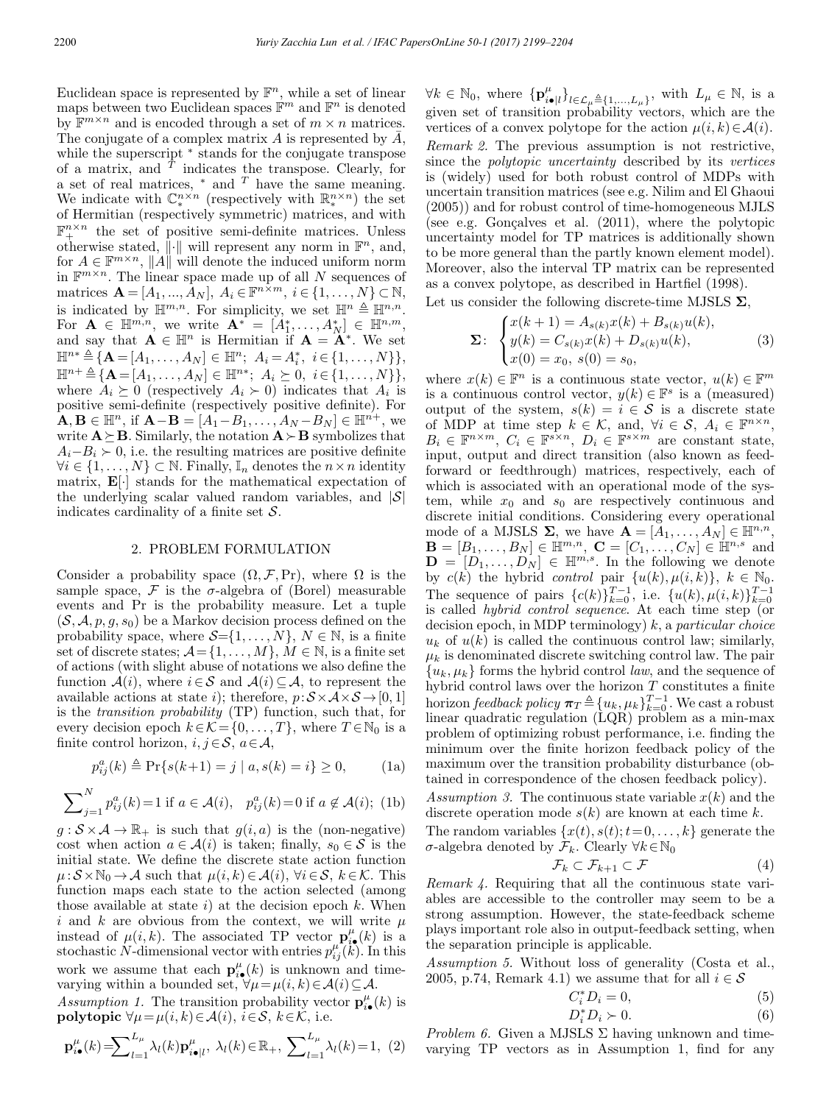Euclidean space is represented by  $\mathbb{F}^n$ , while a set of linear maps between two Euclidean spaces  $\mathbb{F}^m$  and  $\mathbb{F}^n$  is denoted by  $\mathbb{F}^{m \times n}$  and is encoded through a set of  $m \times n$  matrices. The conjugate of a complex matrix A is represented by  $\bar{A}$ , while the superscript  $*$  stands for the conjugate transpose of a matrix, and  $T$  indicates the transpose. Clearly, for a set of real matrices,  $*$  and  $T$  have the same meaning. We indicate with  $\mathbb{C}_{*}^{n \times n}$  (respectively with  $\mathbb{R}_{*}^{n \times n}$ ) the set of Hermitian (respectively symmetric) matrices, and with  $\mathbb{F}^{n\times n}$  the set of positive semi-definite matrices. Unless otherwise stated,  $\|\cdot\|$  will represent any norm in  $\mathbb{F}^n$ , and, for  $A \in \mathbb{F}^{m \times n}$ , ||A|| will denote the induced uniform norm in  $\mathbb{F}^{m \times n}$ . The linear space made up of all N sequences of matrices  $\mathbf{A} = [A_1, ..., A_N], A_i \in \mathbb{F}^{n \times m}, i \in \{1, ..., N\} \subset \mathbb{N},$ is indicated by  $\mathbb{H}^{m,n}$ . For simplicity, we set  $\mathbb{H}^n \triangleq \mathbb{H}^{n,n}$ . For  $\mathbf{A} \in \mathbb{H}^{m,n}$ , we write  $\mathbf{A}^* = [A_1^*, \ldots, A_N^*] \in \mathbb{H}^{n,m}$ , and say that  $\mathbf{A} \in \mathbb{H}^n$  is Hermitian if  $\mathbf{A} = \mathbf{A}^*$ . We set  $\mathbb{H}^{n*} \triangleq {\mathbf{A} = [A_1, \ldots, A_N] \in \mathbb{H}^n; \ A_i = A_i^*, \ i \in \{1, \ldots, N\}},$  $\mathbb{H}^{n+\triangleq} {\mathbf{A}} = [A_1,\ldots,A_N] \in \mathbb{H}^{n*};\ A_i \succeq 0,\ i \in \{1,\ldots,N\} \},\$ where  $A_i \succeq 0$  (respectively  $A_i \succ 0$ ) indicates that  $A_i$  is positive semi-definite (respectively positive definite). For  $\mathbf{A}, \mathbf{B} \in \mathbb{H}^n$ , if  $\mathbf{A} - \mathbf{B} = [A_1 - B_1, \ldots, A_N - B_N] \in \mathbb{H}^{n+}$ , we write  $\mathbf{A} \succeq \mathbf{B}$ . Similarly, the notation  $\mathbf{A} \succ \mathbf{B}$  symbolizes that  $A_i-B_i \succ 0$ , i.e. the resulting matrices are positive definite  $\forall i \in \{1,\ldots,N\} \subset \mathbb{N}$ . Finally,  $\mathbb{I}_n$  denotes the  $n \times n$  identity matrix, E[·] stands for the mathematical expectation of the underlying scalar valued random variables, and  $|\mathcal{S}|$ indicates cardinality of a finite set  $S$ .

## 2. PROBLEM FORMULATION

Consider a probability space  $(\Omega, \mathcal{F}, Pr)$ , where  $\Omega$  is the sample space, F is the  $\sigma$ -algebra of (Borel) measurable events and Pr is the probability measure. Let a tuple  $(S, \mathcal{A}, p, q, s_0)$  be a Markov decision process defined on the probability space, where  $S = \{1, \ldots, N\}$ ,  $N \in \mathbb{N}$ , is a finite set of discrete states;  $\mathcal{A} = \{1, \ldots, M\}, M \in \mathbb{N}$ , is a finite set of actions (with slight abuse of notations we also define the function  $\mathcal{A}(i)$ , where  $i \in \mathcal{S}$  and  $\mathcal{A}(i) \subseteq \mathcal{A}$ , to represent the available actions at state i); therefore,  $p:\mathcal{S}\times\mathcal{A}\times\mathcal{S}\rightarrow[0,1]$ is the transition probability (TP) function, such that, for every decision epoch  $k \in \mathcal{K} = \{0, \ldots, T\}$ , where  $T \in \mathbb{N}_0$  is a finite control horizon,  $i, j \in S$ ,  $a \in A$ ,

$$
p_{ij}^a(k) \triangleq \Pr\{s(k+1) = j \mid a, s(k) = i\} \ge 0,
$$
 (1a)

$$
\sum_{j=1}^{N} p_{ij}^{a}(k) = 1 \text{ if } a \in \mathcal{A}(i), \quad p_{ij}^{a}(k) = 0 \text{ if } a \notin \mathcal{A}(i); \text{ (1b)}
$$

pa

 $g: \mathcal{S} \times \mathcal{A} \to \mathbb{R}_+$  is such that  $g(i, a)$  is the (non-negative) cost when action  $a \in \mathcal{A}(i)$  is taken; finally,  $s_0 \in \mathcal{S}$  is the initial state. We define the discrete state action function  $\mu:\mathcal{S}\times\mathbb{N}_0\to\mathcal{A}$  such that  $\mu(i,k)\in\mathcal{A}(i)$ ,  $\forall i\in\mathcal{S}, k\in\mathcal{K}$ . This function maps each state to the action selected (among those available at state  $i$ ) at the decision epoch  $k$ . When i and k are obvious from the context, we will write  $\mu$ instead of  $\mu(i,k)$ . The associated TP vector  $\mathbf{p}_i^{\mu}(k)$  is a stochastic N-dimensional vector with entries  $p_{ij}^{\mu}(\boldsymbol{k})$ . In this work we assume that each  $\mathbf{p}_{i\bullet}^{\mu}(k)$  is unknown and timevarying within a bounded set,  $\forall \mu = \mu(i, k) \in \mathcal{A}(i) \subseteq \mathcal{A}$ .

Assumption 1. The transition probability vector  $\mathbf{p}_{i\bullet}^{\mu}(k)$  is **polytopic**  $\forall \mu = \mu(i, k) \in \mathcal{A}(i), i \in \mathcal{S}, k \in \mathcal{K}$ , i.e.

$$
\mathbf{p}_{i\bullet}^{\mu}(k) = \sum_{l=1}^{L_{\mu}} \lambda_l(k) \mathbf{p}_{i\bullet|l}^{\mu}, \ \lambda_l(k) \in \mathbb{R}_+, \ \sum_{l=1}^{L_{\mu}} \lambda_l(k) = 1, \ (2)
$$

 $\forall k \in \mathbb{N}_0$ , where  $\{p_{i\bullet|l}^{\mu}\}_{l \in \mathcal{L}_{\mu}} \triangleq \{1, ..., L_{\mu}\}\$ , with  $L_{\mu} \in \mathbb{N}$ , is a given set of transition probability vectors, which are the vertices of a convex polytope for the action  $\mu(i, k) \in \mathcal{A}(i)$ . Remark 2. The previous assumption is not restrictive, since the polytopic uncertainty described by its vertices is (widely) used for both robust control of MDPs with uncertain transition matrices (see e.g. Nilim and El Ghaoui (2005)) and for robust control of time-homogeneous MJLS (see e.g. Gonçalves et al.  $(2011)$ , where the polytopic uncertainty model for TP matrices is additionally shown to be more general than the partly known element model). Moreover, also the interval TP matrix can be represented as a convex polytope, as described in Hartfiel (1998).

Let us consider the following discrete-time MJSLS  $\Sigma$ ,

$$
\Sigma: \begin{cases} x(k+1) = A_{s(k)}x(k) + B_{s(k)}u(k), \\ y(k) = C_{s(k)}x(k) + D_{s(k)}u(k), \\ x(0) = x_0, \ s(0) = s_0, \end{cases}
$$
 (3)

where  $x(k) \in \mathbb{F}^n$  is a continuous state vector,  $u(k) \in \mathbb{F}^m$ is a continuous control vector,  $y(k) \in \mathbb{F}^s$  is a (measured) output of the system,  $s(k) = i \in S$  is a discrete state of MDP at time step  $k \in \mathcal{K}$ , and,  $\forall i \in \mathcal{S}, A_i \in \mathbb{F}^{n \times n}$ ,  $B_i \in \mathbb{F}^{n \times m}$ ,  $C_i \in \mathbb{F}^{s \times n}$ ,  $D_i \in \mathbb{F}^{s \times m}$  are constant state, input, output and direct transition (also known as feedforward or feedthrough) matrices, respectively, each of which is associated with an operational mode of the system, while  $x_0$  and  $s_0$  are respectively continuous and discrete initial conditions. Considering every operational mode of a MJSLS  $\Sigma$ , we have  $\mathbf{A} = [\mathbf{A}_1, \dots, \mathbf{A}_N] \in \mathbb{H}^{n,n}$ ,  $\mathbf{B} = [B_1, \ldots, B_N] \in \mathbb{H}^{m,n}$ ,  $\mathbf{C} = [C_1, \ldots, C_N] \in \mathbb{H}^{n,s}$  and  $\mathbf{D} = [D_1, \ldots, D_N] \in \mathbb{H}^{m,s}$ . In the following we denote by  $c(k)$  the hybrid control pair  $\{u(k), \mu(i,k)\}, k \in \mathbb{N}_0$ . The sequence of pairs  ${c(k)}_{k=0}^{T-1}$ , i.e.  ${u(k), \mu(i,k)}_{k=0}^{T-1}$  is called *hybrid control sequence*. At each time step (or decision epoch, in MDP terminology)  $k$ , a *particular choice*  $u_k$  of  $u(k)$  is called the continuous control law; similarly,  $\mu_k$  is denominated discrete switching control law. The pair  ${u_k, \mu_k}$  forms the hybrid control *law*, and the sequence of hybrid control laws over the horizon  $T$  constitutes a finite horizon feedback policy  $\pi_T \triangleq \{u_k, \mu_k\}_{k=0}^{T-1}$ . We cast a robust linear quadratic regulation (LQR) problem as a min-max problem of optimizing robust performance, i.e. finding the minimum over the finite horizon feedback policy of the maximum over the transition probability disturbance (obtained in correspondence of the chosen feedback policy).

Assumption 3. The continuous state variable  $x(k)$  and the discrete operation mode  $s(k)$  are known at each time k.

The random variables  $\{x(t), s(t); t=0,\ldots,k\}$  generate the  $σ$ -algebra denoted by  $\mathcal{F}_k$ . Clearly ∀ $k \in \mathbb{N}_0$ 

$$
\mathcal{F}_k \subset \mathcal{F}_{k+1} \subset \mathcal{F} \tag{4}
$$

Remark 4. Requiring that all the continuous state variables are accessible to the controller may seem to be a strong assumption. However, the state-feedback scheme plays important role also in output-feedback setting, when the separation principle is applicable.

Assumption 5. Without loss of generality (Costa et al., 2005, p.74, Remark 4.1) we assume that for all  $i \in \mathcal{S}$ 

$$
C_i^* D_i = 0,\t\t(5)
$$

$$
D_i^* D_i \succ 0. \tag{6}
$$

*Problem 6.* Given a MJSLS  $\Sigma$  having unknown and timevarying TP vectors as in Assumption 1, find for any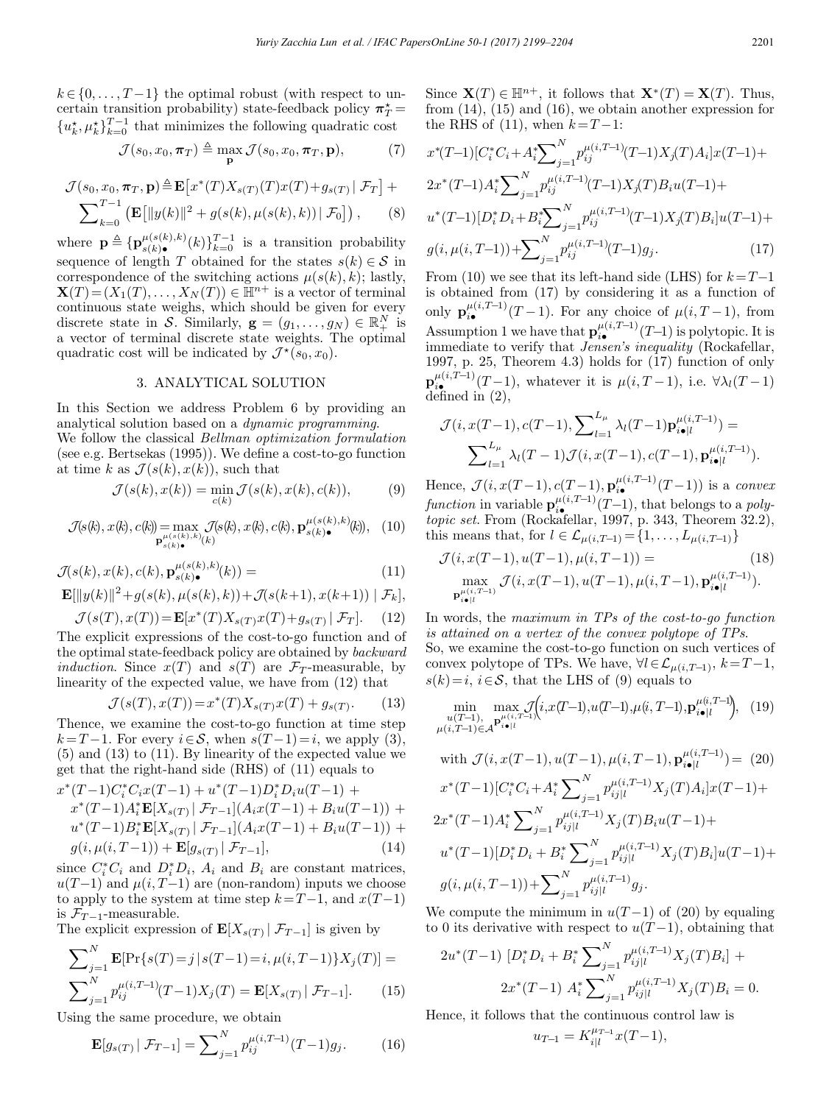$k \in \{0, \ldots, T-1\}$  the optimal robust (with respect to uncertain transition probability) state-feedback policy  $\pi^{\star}_T$  =  ${u_k^{\star}, \mu_k^{\star}}_{k=0}^{T-1}$  that minimizes the following quadratic cost

$$
\mathcal{J}(s_0, x_0, \boldsymbol{\pi}_T) \triangleq \max_{\mathbf{p}} \mathcal{J}(s_0, x_0, \boldsymbol{\pi}_T, \mathbf{p}),
$$
 (7)

$$
\mathcal{J}(s_0, x_0, \boldsymbol{\pi}_T, \mathbf{p}) \triangleq \mathbf{E}\big[x^*(T)X_{s(T)}(T)x(T) + g_{s(T)} | \mathcal{F}_T\big] + \sum_{k=0}^{T-1} \left(\mathbf{E}\big[\|y(k)\|^2 + g(s(k), \mu(s(k), k)) | \mathcal{F}_0\big]\right),\tag{8}
$$

where  $\mathbf{p} \triangleq \{ \mathbf{p}_{s(k)}^{\mu(s(k),k)}(k) \}_{k=0}^{T-1}$  is a transition probability sequence of length T obtained for the states  $s(k) \in \mathcal{S}$  in correspondence of the switching actions  $\mu(s(k), k)$ ; lastly,  $\mathbf{X}(T)=(X_1(T),\ldots,X_N(T))\in\mathbb{H}^{n+}$  is a vector of terminal continuous state weighs, which should be given for every discrete state in S. Similarly,  $\mathbf{g} = (g_1, \dots, g_N) \in \mathbb{R}^N_+$  is a vector of terminal discrete state weights. The optimal quadratic cost will be indicated by  $\mathcal{J}^*(s_0, x_0)$ .

## 3. ANALYTICAL SOLUTION

In this Section we address Problem 6 by providing an analytical solution based on a dynamic programming. We follow the classical Bellman optimization formulation (see e.g. Bertsekas (1995)). We define a cost-to-go function at time k as  $\mathcal{J}(s(k), x(k))$ , such that

$$
\mathcal{J}(s(k), x(k)) = \min_{c(k)} \mathcal{J}(s(k), x(k), c(k)), \tag{9}
$$

$$
\mathcal{J}(s(k), x(k), c(k)) = \max_{\mathbf{p}_{s(k)}^{\mu(s(k),k)}(k)} \mathcal{J}(s(k), x(k), c(k), \mathbf{p}_{s(k)}^{\mu(s(k),k)}(k)), \quad (10)
$$

$$
\mathcal{J}(s(k), x(k), c(k), \mathbf{p}_{s(k)\bullet}^{\mu(s(k),k)}(k)) =
$$
\n(11)

$$
\mathbf{E}[\|y(k)\|^2 + g(s(k), \mu(s(k), k)) + \mathcal{J}(s(k+1), x(k+1)) | \mathcal{F}_k],
$$

$$
\mathcal{J}(s(T), x(T)) = \mathbf{E}[x^*(T)X_{s(T)}x(T) + g_{s(T)} | \mathcal{F}_T]. \tag{12}
$$

The explicit expressions of the cost-to-go function and of the optimal state-feedback policy are obtained by backward induction. Since  $x(T)$  and  $s(T)$  are  $\mathcal{F}_T$ -measurable, by linearity of the expected value, we have from (12) that

$$
\mathcal{J}(s(T), x(T)) = x^*(T)X_{s(T)}x(T) + g_{s(T)}.
$$
 (13)

Thence, we examine the cost-to-go function at time step  $k = T - 1$ . For every  $i \in S$ , when  $s(T - 1) = i$ , we apply (3), (5) and (13) to (11). By linearity of the expected value we get that the right-hand side (RHS) of (11) equals to

$$
x^*(T-1)C_i^*C_ix(T-1) + u^*(T-1)D_i^*D_iu(T-1) +x^*(T-1)A_i^* \mathbf{E}[X_{s(T)} | \mathcal{F}_{T-1}](A_ix(T-1) + B_iu(T-1)) +u^*(T-1)B_i^* \mathbf{E}[X_{s(T)} | \mathcal{F}_{T-1}](A_ix(T-1) + B_iu(T-1)) +g(i, \mu(i, T-1)) + \mathbf{E}[g_{s(T)} | \mathcal{F}_{T-1}],
$$
 (14)

since  $C_i^*C_i$  and  $D_i^*D_i$ ,  $A_i$  and  $B_i$  are constant matrices,  $u(T-1)$  and  $\mu(i, T-1)$  are (non-random) inputs we choose to apply to the system at time step  $k=T-1$ , and  $x(T-1)$ is  $\mathcal{F}_{T-1}$ -measurable.

The explicit expression of  $\mathbf{E}[X_{s(T)} | \mathcal{F}_{T-1}]$  is given by

$$
\sum_{j=1}^{N} \mathbf{E}[\Pr\{s(T) = j \mid s(T-1) = i, \mu(i, T-1)\} X_j(T)] =
$$

$$
\sum_{j=1}^{N} p_{ij}^{\mu(i, T-1)}(T-1) X_j(T) = \mathbf{E}[X_{s(T)} | \mathcal{F}_{T-1}]. \tag{15}
$$

Using the same procedure, we obtain

$$
\mathbf{E}[g_{s(T)} | \mathcal{F}_{T-1}] = \sum_{j=1}^{N} p_{ij}^{\mu(i, T-1)}(T-1)g_j.
$$
 (16)

Since  $\mathbf{X}(T) \in \mathbb{H}^{n+}$ , it follows that  $\mathbf{X}^*(T) = \mathbf{X}(T)$ . Thus, from (14), (15) and (16), we obtain another expression for the RHS of (11), when  $k = T - 1$ :

$$
x^{*}(T-1)[C_{i}^{*}C_{i}+A_{i}^{*}\sum_{j=1}^{N}p_{ij}^{\mu(i,T-1)}(T-1)X_{j}(T)A_{i}]x(T-1)+
$$
  
\n
$$
2x^{*}(T-1)A_{i}^{*}\sum_{j=1}^{N}p_{ij}^{\mu(i,T-1)}(T-1)X_{j}(T)B_{i}u(T-1)+
$$
  
\n
$$
u^{*}(T-1)[D_{i}^{*}D_{i}+B_{i}^{*}\sum_{j=1}^{N}p_{ij}^{\mu(i,T-1)}(T-1)X_{j}(T)B_{i}]u(T-1)+
$$
  
\n
$$
g(i, \mu(i, T-1)) + \sum_{j=1}^{N}p_{ij}^{\mu(i,T-1)}(T-1)g_{j}.
$$
\n(17)

From (10) we see that its left-hand side (LHS) for  $k=T-1$ is obtained from (17) by considering it as a function of only  $\mathbf{p}_{i\bullet}^{\mu(i,T-1)}(T-1)$ . For any choice of  $\mu(i, T-1)$ , from Assumption 1 we have that  $\mathbf{p}_{i\bullet}^{\mu(i,T-1)}(T-1)$  is polytopic. It is immediate to verify that *Jensen's inequality* (Rockafellar, 1997, p. 25, Theorem 4.3) holds for (17) function of only  $\mathbf{p}_{i\bullet}^{\mu(i,T-1)}(T-1)$ , whatever it is  $\mu(i, T-1)$ , i.e.  $\forall \lambda_l(T-1)$ defined in (2),

$$
\mathcal{J}(i, x(T-1), c(T-1), \sum_{l=1}^{L_{\mu}} \lambda_l(T-1) \mathbf{p}_{i \bullet | l}^{\mu(i, T-1)}) =
$$

$$
\sum_{l=1}^{L_{\mu}} \lambda_l(T-1) \mathcal{J}(i, x(T-1), c(T-1), \mathbf{p}_{i \bullet | l}^{\mu(i, T-1)}).
$$

Hence,  $\mathcal{J}(i, x(T-1), c(T-1), \mathbf{p}_{i\bullet}^{\mu(i,T-1)}(T-1))$  is a convex function in variable  $\mathbf{p}_{i\bullet}^{\mu(i,T-1)}(T-1)$ , that belongs to a poly-<br>topic set. From (Rockafellar, 1997, p. 343, Theorem 32.2), this means that, for  $l \in \mathcal{L}_{\mu(i,T-1)} = \{1, \ldots, L_{\mu(i,T-1)}\}$ 

$$
\mathcal{J}(i, x(T-1), u(T-1), \mu(i, T-1)) = \text{(18)}
$$
\n
$$
\max_{\substack{\mathbf{m} \in \mathcal{X} \setminus T^{-1}}} \mathcal{J}(i, x(T-1), u(T-1), \mu(i, T-1), \mathbf{p}_{i \bullet | l}^{\mu(i, T-1)}).
$$

In words, the maximum in TPs of the cost-to-go function is attained on a vertex of the convex polytope of TPs. So, we examine the cost-to-go function on such vertices of convex polytope of TPs. We have,  $\forall l \in \mathcal{L}_{\mu(i,T-1)}, k=T-1$ ,  $s(k)=i, i\in\mathcal{S}$ , that the LHS of (9) equals to

$$
\min_{\substack{u(T-1), \mu(i, T-1) \in \mathcal{A}^{\mu(i, T-1)}}} \max_{\substack{\mathbf{p}^{\mu(i, T-1)} \neq (i, T-1), u(T-1), \mu(i, T-1), \mathbf{p}^{\mu(i, T-1)} \neq (19)}
$$

with 
$$
\mathcal{J}(i, x(T-1), u(T-1), \mu(i, T-1), \mathbf{p}_{i\bullet|l}^{\mu(i, T-1)}) = (20)
$$
  
\n
$$
x^*(T-1)[C_i^*C_i + A_i^* \sum_{j=1}^N p_{ij|l}^{\mu(i, T-1)} X_j(T) A_i] x(T-1) +
$$
\n
$$
2x^*(T-1)A_i^* \sum_{j=1}^N p_{ij|l}^{\mu(i, T-1)} X_j(T) B_i u(T-1) +
$$
\n
$$
u^*(T-1)[D_i^* D_i + B_i^* \sum_{j=1}^N p_{ij|l}^{\mu(i, T-1)} X_j(T) B_i] u(T-1) +
$$
\n
$$
g(i, \mu(i, T-1)) + \sum_{j=1}^N p_{ij|l}^{\mu(i, T-1)} g_j.
$$

We compute the minimum in  $u(T-1)$  of (20) by equaling to 0 its derivative with respect to  $u(T-1)$ , obtaining that

$$
2u^*(T-1) [D_i^*D_i + B_i^* \sum_{j=1}^N p_{ij|l}^{\mu(i,T-1)} X_j(T) B_i] +
$$
  

$$
2x^*(T-1) A_i^* \sum_{j=1}^N p_{ij|l}^{\mu(i,T-1)} X_j(T) B_i = 0.
$$

Hence, it follows that the continuous control law is

$$
u_{T-1} = K_{i|l}^{\mu_{T-1}} x(T-1),
$$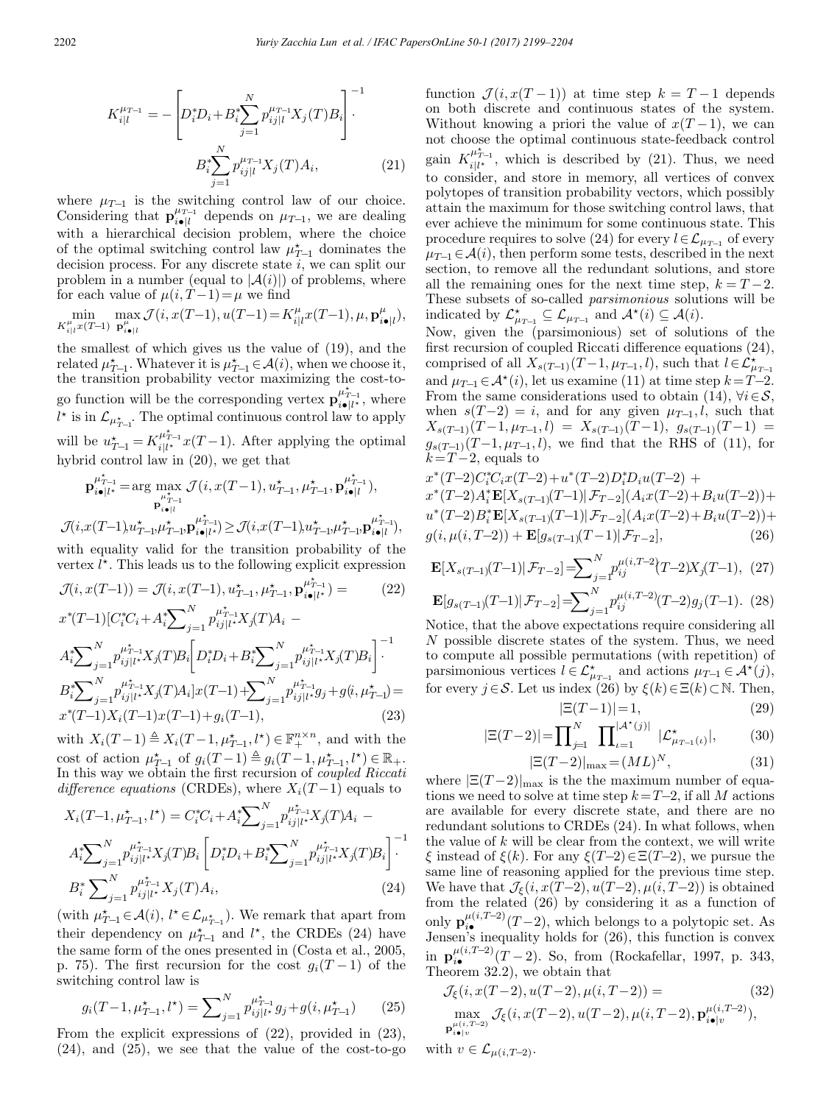$$
K_{i|l}^{\mu_{T-1}} = -\left[D_i^* D_i + B_i^* \sum_{j=1}^N p_{ij|l}^{\mu_{T-1}} X_j(T) B_i\right]^{-1}
$$

$$
B_i^* \sum_{j=1}^N p_{ij|l}^{\mu_{T-1}} X_j(T) A_i, \qquad (21)
$$

where  $\mu_{T-1}$  is the switching control law of our choice. Considering that  $\mathbf{p}_{i}^{\mu_{T-1}}$  depends on  $\mu_{T-1}$ , we are dealing with a hierarchical decision problem, where the choice of the optimal switching control law  $\mu_{T-1}^*$  dominates the decision process. For any discrete state  $i$ , we can split our problem in a number (equal to  $|\mathcal{A}(i)|$ ) of problems, where for each value of  $\mu(i, T-1) = \mu$  we find

 $\min_{K_{i|l}^{\mu}x(T-1)}$  $\max_{\mathbf{p}_{i\bullet|l}^{\mu}} \mathcal{J}(i, x(T-1), u(T-1)) = K_{i|l}^{\mu} x(T-1), \mu, \mathbf{p}_{i\bullet|l}^{\mu}),$ 

the smallest of which gives us the value of (19), and the related  $\mu_{T-1}^*$ . Whatever it is  $\mu_{T-1}^* \in \mathcal{A}(i)$ , when we choose it, the transition probability vector maximizing the cost-togo function will be the corresponding vertex  $\mathbf{p}_{i\bullet|l^*}^{\mu_{l-1}^*}$ , where  $l^*$  is in  $\mathcal{L}_{\mu_{T-1}^*}$ . The optimal continuous control law to apply will be  $u_{T-1}^* = K_{i|l^*}^{\mu_{T-1}^*} x(T-1)$ . After applying the optimal hybrid control law in (20), we get that

$$
\mathbf{p}_{i\bullet|l^*}^{\mu^*_{T-1}} = \arg \max_{\substack{\mu^*_{T-1} \\ \mathbf{p}_{i\bullet|l}^{\mu^*_{T-1}}}} \mathcal{J}(i, x(T-1), u^*_{T-1}, \mu^*_{T-1}, \mathbf{p}_{i\bullet|l}^{\mu^*_{T-1}}),
$$

 $\mathcal{J}(i,\boldsymbol{x}(T-1)\boldsymbol{u}^\star_{T-1},\boldsymbol{\mu}^\star_{T-1},\boldsymbol{\mathrm{p}}_{i\bullet|l^\star}^{\boldsymbol{\mu}^\star_{T-1}})\geq \mathcal{J}(i,\boldsymbol{x}(T-1)\boldsymbol{u}^\star_{T-1},\boldsymbol{\mu}^\star_{T-1},\boldsymbol{\mathrm{p}}_{i\bullet|l}^{\boldsymbol{\mu}^\star_{T-1}}),$ with equality valid for the transition probability of the vertex  $l^*$ . This leads us to the following explicit expression

 $\mathcal{J}(i, x(T-1)) = \mathcal{J}(i, x(T-1), u_{T-1}^*, \mu_{T-1}^*, \mathbf{p}_{i\bullet|\ell^*}^{\mu_{T-1}^*}) =$  (22)  $x^*(T-1)[C_i^*C_i + A_i^* \sum_{j=1}^N p_{ij}^{\mu_{T-1}^* X_j}(T)A_i A_i^*{\sum}_{j=1}^Np_{ij|l^*}^{\mu_{T-1}^\star X_j(T)B_i}$  $\sqrt{ }$  $D_i^*D_i + B_i^* \sum\nolimits_{j=1}^N p_{ij|l^*}^{\mu^*_{T-1}} X_j(T) B_i$  $1^{-1}$ ·  $B_i^* {\sum}_{j=1}^N p_{ij}^{\mu_{T-1}^* X_j(T) A_i} ] x(T-1) +\! {\sum}_{j=1}^N p_{ij}^{\mu_{T-1}^* g_j} + g(i,\mu_{T-1}^{\star}) =$  $x^*(T-1)X_i(T-1)x(T-1)+g_i(T-1),$  (23)

with  $X_i(T-1) \triangleq X_i(T-1, \mu_{T-1}^*, l^*) \in \mathbb{F}_+^{n \times n}$ , and with the cost of action  $\mu_{T-1}^*$  of  $g_i(T-1) \triangleq g_i(T-1, \mu_{T-1}^*, l^*) \in \mathbb{R}_+$ . In this way we obtain the first recursion of coupled Riccati difference equations (CRDEs), where  $X_i(T-1)$  equals to

$$
X_i(T-1, \mu_{T-1}^*, l^*) = C_i^* C_i + A_i^* \sum_{j=1}^N p_{ij}^{\mu_{T-1}^*} X_j(T) A_i - A_i^* \sum_{j=1}^N p_{ij}^{\mu_{T-1}^*} X_j(T) B_i \left[ D_i^* D_i + B_i^* \sum_{j=1}^N p_{ij}^{\mu_{T-1}^*} X_j(T) B_i \right]^{-1}.
$$
  
\n
$$
B_i^* \sum_{j=1}^N p_{ij}^{\mu_{T-1}^*} X_j(T) A_i,
$$
\n(24)

(with  $\mu_{T-1}^* \in \mathcal{A}(i)$ ,  $l^* \in \mathcal{L}_{\mu_{T-1}^*}$ ). We remark that apart from their dependency on  $\mu_{T-1}^*$  and  $l^*$ , the CRDEs (24) have the same form of the ones presented in (Costa et al., 2005, p. 75). The first recursion for the cost  $g_i(T-1)$  of the switching control law is

$$
g_i(T-1, \mu_{T-1}^*, l^*) = \sum_{j=1}^N p_{ij}^{\mu_{T-1}^*} g_j + g(i, \mu_{T-1}^*)
$$
 (25)

From the explicit expressions of (22), provided in (23), (24), and (25), we see that the value of the cost-to-go function  $\mathcal{J}(i, x(T-1))$  at time step  $k = T-1$  depends on both discrete and continuous states of the system. Without knowing a priori the value of  $x(T-1)$ , we can not choose the optimal continuous state-feedback control gain  $K_{i|l^*}^{\mu^*_{T-1}}$ , which is described by (21). Thus, we need to consider, and store in memory, all vertices of convex polytopes of transition probability vectors, which possibly attain the maximum for those switching control laws, that ever achieve the minimum for some continuous state. This procedure requires to solve (24) for every  $l \in \mathcal{L}_{\mu_{T-1}}$  of every  $\mu_{T-1} \in \mathcal{A}(i)$ , then perform some tests, described in the next section, to remove all the redundant solutions, and store all the remaining ones for the next time step,  $k = T - 2$ . These subsets of so-called parsimonious solutions will be indicated by  $\mathcal{L}_{\mu_{T-1}}^* \subseteq \mathcal{L}_{\mu_{T-1}}$  and  $\mathcal{A}^*(i) \subseteq \mathcal{A}(i)$ .

Now, given the (parsimonious) set of solutions of the first recursion of coupled Riccati difference equations (24), comprised of all  $X_{s(T-1)}(T-1, \mu_{T-1}, l)$ , such that  $l \in \mathcal{L}^*_{\mu_{T-1}}$ and  $\mu_{T-1} \in \mathcal{A}^*(i)$ , let us examine (11) at time step  $k = T-2$ . From the same considerations used to obtain (14),  $\forall i \in \mathcal{S}$ , when  $s(T-2) = i$ , and for any given  $\mu_{T-1}, l$ , such that  $X_{s(T-1)}(T-1,\mu_{T-1},l) = X_{s(T-1)}(T-1), \quad g_{s(T-1)}(T-1) =$  $g_{s(T-1)}(T-1,\mu_{T-1},l)$ , we find that the RHS of (11), for  $k=T-2$ , equals to

$$
x^*(T-2)C_i^*C_i x(T-2) + u^*(T-2)D_i^*D_i u(T-2) +x^*(T-2)A_i^* \mathbf{E}[X_{s(T-1)}(T-1)|\mathcal{F}_{T-2}](A_i x(T-2) + B_i u(T-2)) +u^*(T-2)B_i^* \mathbf{E}[X_{s(T-1)}(T-1)|\mathcal{F}_{T-2}](A_i x(T-2) + B_i u(T-2)) +g(i, \mu(i, T-2)) + \mathbf{E}[g_{s(T-1)}(T-1)|\mathcal{F}_{T-2}],
$$
 (26)

$$
\mathbf{E}[X_{s(T-1)}(T-1)|\mathcal{F}_{T-2}] = \sum_{j=1}^{N} p_{ij}^{\mu(i,T-2)}(T-2)X_j(T-1), (27)
$$

$$
\mathbf{E}[g_{s(T-1)}(T-1)|\mathcal{F}_{T-2}] = \sum_{j=1}^{N} p_{ij}^{\mu(i,T-2)}(T-2)g_j(T-1). \tag{28}
$$

Notice, that the above expectations require considering all N possible discrete states of the system. Thus, we need to compute all possible permutations (with repetition) of parsimonious vertices  $l \in \mathcal{L}^*_{\mu_{T-1}}$  and actions  $\mu_{T-1} \in \mathcal{A}^*(j)$ , for every  $j \in \mathcal{S}$ . Let us index (26) by  $\xi(k) \in \Xi(k) \subset \mathbb{N}$ . Then,

$$
|\Xi(T-1)|=1,
$$
\n
$$
\mathbf{\nabla}^{N} \quad \mathbf{\nabla}^{|\mathcal{A}^{\star}(i)|} \tag{29}
$$

$$
|\Xi(T-2)| = \prod_{j=1}^{N} \prod_{\iota=1}^{|\mathcal{A}^*(j)|} |\mathcal{L}^*_{\mu_{T-1}(\iota)}|, \tag{30}
$$

$$
|\Xi(T-2)|_{\text{max}} = (ML)^N,\tag{31}
$$

where  $|\Xi(T-2)|_{\text{max}}$  is the the maximum number of equations we need to solve at time step  $k=T-2$ , if all M actions are available for every discrete state, and there are no redundant solutions to CRDEs (24). In what follows, when the value of k will be clear from the context, we will write ξ instead of  $\xi(k)$ . For any  $\xi(T-2) \in \Xi(T-2)$ , we pursue the same line of reasoning applied for the previous time step. We have that  $\mathcal{J}_{\xi}(i, x(T-2), u(T-2), \mu(i, T-2))$  is obtained from the related (26) by considering it as a function of only  $\mathbf{p}_{i\bullet}^{\mu(i,T-2)}(T-2)$ , which belongs to a polytopic set. As Jensen's inequality holds for (26), this function is convex in  $\mathbf{p}_{i\bullet}^{\mu(i,T-2)}(T-2)$ . So, from (Rockafellar, 1997, p. 343, Theorem 32.2), we obtain that

$$
\mathcal{J}_{\xi}(i, x(T-2), u(T-2), \mu(i, T-2)) = (32)
$$
  
\n
$$
\max_{\mathbf{p}_{i\bullet|v}^{\mu(i,T-2)}} \mathcal{J}_{\xi}(i, x(T-2), u(T-2), \mu(i, T-2), \mathbf{p}_{i\bullet|v}^{\mu(i,T-2)}),
$$
\n(32)

with  $v \in \mathcal{L}_{\mu(i,T-2)}$ .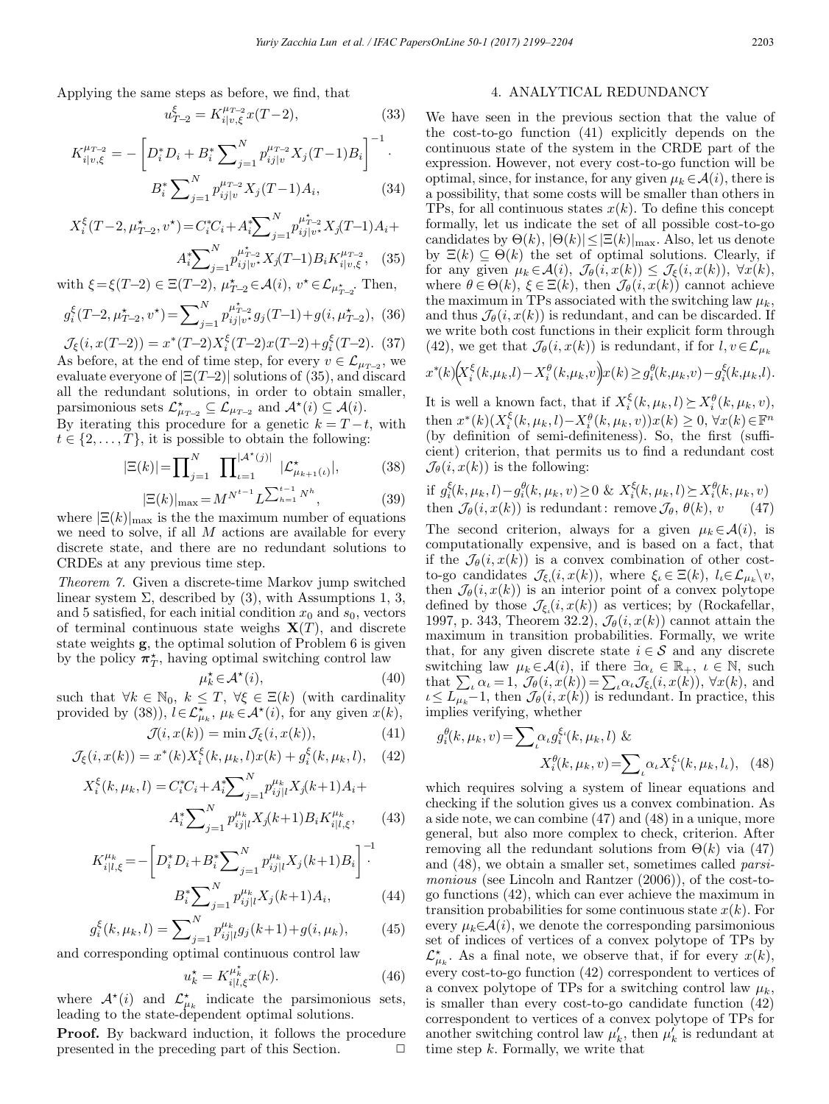Applying the same steps as before, we find, that

$$
u_{T-2}^{\xi} = K_{i|v,\xi}^{\mu_{T-2}} x(T-2),\tag{33}
$$

$$
K_{i|v,\xi}^{\mu_{T-2}} = -\left[D_i^* D_i + B_i^* \sum_{j=1}^N p_{ij|v}^{\mu_{T-2}} X_j (T-1) B_i\right]^{-1}.
$$

$$
B_i^* \sum_{j=1}^N p_{ij|v}^{\mu_{T-2}} X_j (T-1) A_i,
$$
(34)

$$
X_i^{\xi}(T-2, \mu_{T-2}^{\star}, v^{\star}) = C_i^{\ast}C_i + A_i^{\ast} \sum_{j=1}^N p_{ij|v^{\star}}^{\mu_{T-2}^{\star}} X_j(T-1)A_i + A_i^{\ast} \sum_{j=1}^N p_{ij|v^{\star}}^{\mu_{T-2}^{\star}} X_j(T-1)B_i K_{i|v,\xi}^{\mu_{T-2}}, \quad (35)
$$

with  $\xi = \xi(T-2) \in \Xi(T-2)$ ,  $\mu_{T-2}^* \in \mathcal{A}(i)$ ,  $v^* \in \mathcal{L}_{\mu_{T-2}^*}$ . Then,

$$
g_i^{\xi}(T-2, \mu_{T-2}^{\star}, v^{\star}) = \sum_{j=1}^{N} p_{ij|v^{\star}}^{\mu_{T-2}^{\star}} g_j(T-1) + g(i, \mu_{T-2}^{\star}),
$$
 (36)

$$
\mathcal{J}_{\xi}(i, x(T-2)) = x^*(T-2)X_i^{\xi}(T-2)x(T-2) + g_i^{\xi}(T-2).
$$
 (37)  
As before, at the end of time step, for every  $v \in \mathcal{L}_{\mu_{T-2}}$ , we  
evaluate everyone of  $|\Xi(T-2)|$  solutions of (35), and discard  
all the redundant solutions, in order to obtain smaller,  
paramonious sets  $\mathcal{L}^*_{\mu_{T-2}} \subseteq \mathcal{L}_{\mu_{T-2}}$  and  $\mathcal{A}^*(i) \subseteq \mathcal{A}(i)$ .

By iterating this procedure for a genetic  $k = T - t$ , with  $t \in \{2,\ldots,T\}$ , it is possible to obtain the following:

$$
|\Xi(k)| = \prod_{j=1}^{N} \prod_{\iota=1}^{|\mathcal{A}^{\star}(j)|} |\mathcal{L}^{\star}_{\mu_{k+1}(\iota)}|, \tag{38}
$$

$$
|\Xi(k)|_{\text{max}} = M^{N^{t-1}} L^{\sum_{h=1}^{t-1} N^h}, \tag{39}
$$

where  $\mathbb{E}(k)|_{\text{max}}$  is the the maximum number of equations we need to solve, if all  $M$  actions are available for every discrete state, and there are no redundant solutions to CRDEs at any previous time step.

Theorem 7. Given a discrete-time Markov jump switched linear system  $\Sigma$ , described by (3), with Assumptions 1, 3, and 5 satisfied, for each initial condition  $x_0$  and  $s_0$ , vectors of terminal continuous state weighs  $X(T)$ , and discrete state weights g, the optimal solution of Problem 6 is given by the policy  $\pi^*$ , having optimal switching control law

$$
\mu_k^{\star} \in \mathcal{A}^{\star}(i),\tag{40}
$$

such that  $\forall k \in \mathbb{N}_0, k \leq T, \forall \xi \in \Xi(k)$  (with cardinality provided by (38)),  $l \in \mathcal{L}_{\mu_k}^*$ ,  $\mu_k \in \mathcal{A}^*(i)$ , for any given  $x(k)$ ,

$$
\mathcal{J}(i, x(k)) = \min \mathcal{J}_{\xi}(i, x(k)), \tag{41}
$$

$$
\mathcal{J}_{\xi}(i, x(k)) = x^*(k) X_i^{\xi}(k, \mu_k, l) x(k) + g_i^{\xi}(k, \mu_k, l), \quad (42)
$$

$$
X_i^{\xi}(k, \mu_k, l) = C_i^* C_i + A_i^* \sum_{j=1}^N p_{ij|l}^{\mu_k} X_j(k+1) A_i + A_i^* \sum_{j=1}^N p_{ij|l}^{\mu_k} X_j(k+1) B_i K_{i|l,\xi}^{\mu_k}, \qquad (43)
$$

$$
K_{i|l,\xi}^{\mu_k} = -\left[D_i^* D_i + B_i^* \sum_{j=1}^N p_{ij|l}^{\mu_k} X_j(k+1) B_i\right]^{-1}
$$

$$
B_i^* \sum_{j=1}^N p_{ij|l}^{\mu_k} X_j(k+1) A_i, \tag{44}
$$

$$
g_i^{\xi}(k, \mu_k, l) = \sum_{j=1}^{N} p_{ij|l}^{\mu_k} g_j(k+1) + g(i, \mu_k), \qquad (45)
$$

and corresponding optimal continuous control law

$$
u_k^* = K_{i|l,\xi}^{\mu_k^*} x(k). \tag{46}
$$

where  $\mathcal{A}^*(i)$  and  $\mathcal{L}_{\mu_k}^*$  indicate the parsimonious sets, leading to the state-dependent optimal solutions.

Proof. By backward induction, it follows the procedure presented in the preceding part of this Section.  $\Box$ 

# 4. ANALYTICAL REDUNDANCY

We have seen in the previous section that the value of the cost-to-go function (41) explicitly depends on the continuous state of the system in the CRDE part of the expression. However, not every cost-to-go function will be optimal, since, for instance, for any given  $\mu_k \in \mathcal{A}(i)$ , there is a possibility, that some costs will be smaller than others in TPs, for all continuous states  $x(k)$ . To define this concept formally, let us indicate the set of all possible cost-to-go candidates by  $\Theta(k)$ ,  $|\Theta(k)| \leq |\Xi(k)|_{\text{max}}$ . Also, let us denote by  $\Xi(k) \subseteq \Theta(k)$  the set of optimal solutions. Clearly, if for any given  $\mu_k \in \mathcal{A}(i)$ ,  $\mathcal{J}_{\theta}(i, x(k)) \leq \mathcal{J}_{\xi}(i, x(k))$ ,  $\forall x(k)$ , where  $\theta \in \Theta(k)$ ,  $\xi \in \Xi(k)$ , then  $\mathcal{J}_{\theta}(i, x(k))$  cannot achieve the maximum in TPs associated with the switching law  $\mu_k$ , and thus  $\mathcal{J}_{\theta}(i, x(k))$  is redundant, and can be discarded. If we write both cost functions in their explicit form through (42), we get that  $\mathcal{J}_{\theta}(i, x(k))$  is redundant, if for  $l, v \in \mathcal{L}_{\mu_k}$ 

$$
x^*(k) \Big( \! X_i^{\xi}(k,\mu_k,l) - X_i^{\theta}(k,\mu_k,v) \! \Big) x(k) \geq g_i^{\theta}(k,\mu_k,v) - g_i^{\xi}(k,\mu_k,l).
$$

It is well a known fact, that if  $X_i^{\xi}(k, \mu_k, l) \succeq X_i^{\theta}(k, \mu_k, v)$ , then  $x^*(k) (X_i^{\xi}(k, \mu_k, l) - X_i^{\theta}(k, \mu_k, v)) x(k) \geq 0, \forall x(k) \in \mathbb{F}^n$ (by definition of semi-definiteness). So, the first (sufficient) criterion, that permits us to find a redundant cost  $\mathcal{J}_{\theta}(i, x(k))$  is the following:

if 
$$
g_i^{\xi}(k, \mu_k, l) - g_i^{\theta}(k, \mu_k, v) \ge 0
$$
 &  $X_i^{\xi}(k, \mu_k, l) \succeq X_i^{\theta}(k, \mu_k, v)$   
then  $\mathcal{J}_{\theta}(i, x(k))$  is redundant: remove  $\mathcal{J}_{\theta}, \theta(k), v$  (47)

The second criterion, always for a given  $\mu_k \in \mathcal{A}(i)$ , is computationally expensive, and is based on a fact, that if the  $\mathcal{J}_{\theta}(i, x(k))$  is a convex combination of other costto-go candidates  $\mathcal{J}_{\xi_i}(i, x(k))$ , where  $\xi_i \in \Xi(k)$ ,  $l_i \in \mathcal{L}_{\mu_k} \backslash v$ , then  $\mathcal{J}_{\theta}(i, x(k))$  is an interior point of a convex polytope defined by those  $\mathcal{J}_{\xi_i}(i, x(k))$  as vertices; by (Rockafellar, 1997, p. 343, Theorem 32.2),  $\mathcal{J}_{\theta}(i, x(k))$  cannot attain the maximum in transition probabilities. Formally, we write that, for any given discrete state  $i \in \mathcal{S}$  and any discrete switching law  $\mu_k \in \mathcal{A}(i)$ , if there  $\exists \alpha_i \in \mathbb{R}_+$ ,  $\iota \in \mathbb{N}$ , such that  $\sum_i \alpha_i = 1$ ,  $\mathcal{J}_\theta(i, x(k)) = \sum_i \alpha_i \mathcal{J}_{\xi_i}(i, x(k))$ ,  $\forall x(k)$ , and  $u \leq L_{\mu_k} - 1$ , then  $\mathcal{J}_{\theta}(i, x(k))$  is redundant. In practice, this implies verifying, whether

$$
g_i^{\theta}(k, \mu_k, v) = \sum_{\iota} \alpha_{\iota} g_i^{\xi_{\iota}}(k, \mu_k, l) \&
$$

$$
X_i^{\theta}(k, \mu_k, v) = \sum_{\iota} \alpha_{\iota} X_i^{\xi_{\iota}}(k, \mu_k, l_{\iota}), \quad (48)
$$

which requires solving a system of linear equations and checking if the solution gives us a convex combination. As a side note, we can combine (47) and (48) in a unique, more general, but also more complex to check, criterion. After removing all the redundant solutions from  $\Theta(k)$  via (47) and (48), we obtain a smaller set, sometimes called parsimonious (see Lincoln and Rantzer (2006)), of the cost-togo functions (42), which can ever achieve the maximum in transition probabilities for some continuous state  $x(k)$ . For every  $\mu_k \in \mathcal{A}(i)$ , we denote the corresponding parsimonious set of indices of vertices of a convex polytope of TPs by  $\mathcal{L}_{\mu_k}^{\star}$ . As a final note, we observe that, if for every  $x(k)$ , every cost-to-go function (42) correspondent to vertices of a convex polytope of TPs for a switching control law  $\mu_k$ , is smaller than every cost-to-go candidate function (42) correspondent to vertices of a convex polytope of TPs for another switching control law  $\mu'_k$ , then  $\mu'_k$  is redundant at time step  $k$ . Formally, we write that